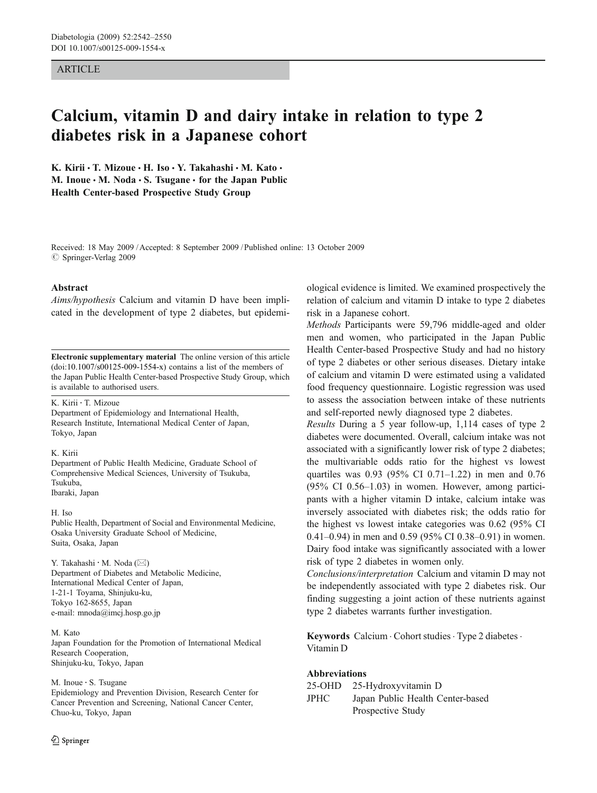## **ARTICLE**

# Calcium, vitamin D and dairy intake in relation to type 2 diabetes risk in a Japanese cohort

K. Kirii  $\cdot$  T. Mizoue  $\cdot$  H. Iso  $\cdot$  Y. Takahashi  $\cdot$  M. Kato  $\cdot$ M. Inoue • M. Noda • S. Tsugane • for the Japan Public Health Center-based Prospective Study Group

Received: 18 May 2009 /Accepted: 8 September 2009 / Published online: 13 October 2009  $\oslash$  Springer-Verlag 2009

#### Abstract

Aims/hypothesis Calcium and vitamin D have been implicated in the development of type 2 diabetes, but epidemi-

Electronic supplementary material The online version of this article (doi:[10.1007/s00125-009-1554-x](http://dx.doi.org/10.1007/s00125-009-1554-x)) contains a list of the members of the Japan Public Health Center-based Prospective Study Group, which is available to authorised users.

#### K. Kirii : T. Mizoue

Department of Epidemiology and International Health, Research Institute, International Medical Center of Japan, Tokyo, Japan

### K. Kirii

Department of Public Health Medicine, Graduate School of Comprehensive Medical Sciences, University of Tsukuba, Tsukuba, Ibaraki, Japan

H. Iso

Public Health, Department of Social and Environmental Medicine, Osaka University Graduate School of Medicine, Suita, Osaka, Japan

Y. Takahashi · M. Noda ( $\boxtimes$ ) Department of Diabetes and Metabolic Medicine, International Medical Center of Japan, 1-21-1 Toyama, Shinjuku-ku, Tokyo 162-8655, Japan e-mail: mnoda@imcj.hosp.go.jp

M. Kato Japan Foundation for the Promotion of International Medical Research Cooperation, Shinjuku-ku, Tokyo, Japan

M. Inoue : S. Tsugane

Epidemiology and Prevention Division, Research Center for Cancer Prevention and Screening, National Cancer Center, Chuo-ku, Tokyo, Japan

 $\textcircled{2}$  Springer

ological evidence is limited. We examined prospectively the relation of calcium and vitamin D intake to type 2 diabetes risk in a Japanese cohort.

Methods Participants were 59,796 middle-aged and older men and women, who participated in the Japan Public Health Center-based Prospective Study and had no history of type 2 diabetes or other serious diseases. Dietary intake of calcium and vitamin D were estimated using a validated food frequency questionnaire. Logistic regression was used to assess the association between intake of these nutrients and self-reported newly diagnosed type 2 diabetes.

Results During a 5 year follow-up, 1,114 cases of type 2 diabetes were documented. Overall, calcium intake was not associated with a significantly lower risk of type 2 diabetes; the multivariable odds ratio for the highest vs lowest quartiles was 0.93 (95% CI 0.71–1.22) in men and 0.76 (95% CI 0.56–1.03) in women. However, among participants with a higher vitamin D intake, calcium intake was inversely associated with diabetes risk; the odds ratio for the highest vs lowest intake categories was 0.62 (95% CI 0.41–0.94) in men and 0.59 (95% CI 0.38–0.91) in women. Dairy food intake was significantly associated with a lower risk of type 2 diabetes in women only.

Conclusions/interpretation Calcium and vitamin D may not be independently associated with type 2 diabetes risk. Our finding suggesting a joint action of these nutrients against type 2 diabetes warrants further investigation.

Keywords Calcium . Cohort studies . Type 2 diabetes . Vitamin D

## Abbreviations

| $25-OHD$    | 25-Hydroxyvitamin D              |
|-------------|----------------------------------|
| <b>JPHC</b> | Japan Public Health Center-based |
|             | Prospective Study                |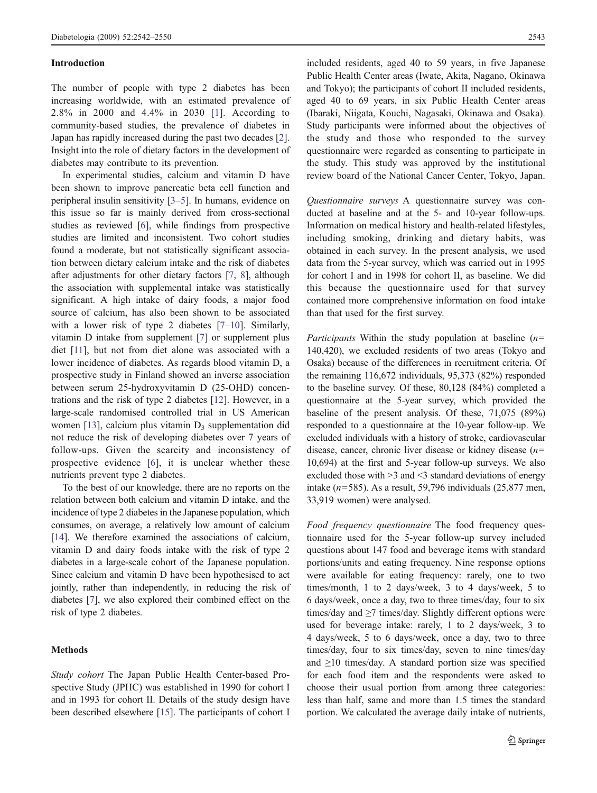#### Introduction

The number of people with type 2 diabetes has been increasing worldwide, with an estimated prevalence of 2.8% in 2000 and 4.4% in 2030 [[1](#page-7-0)]. According to community-based studies, the prevalence of diabetes in Japan has rapidly increased during the past two decades [\[2](#page-7-0)]. Insight into the role of dietary factors in the development of diabetes may contribute to its prevention.

In experimental studies, calcium and vitamin D have been shown to improve pancreatic beta cell function and peripheral insulin sensitivity [\[3](#page-7-0)–[5](#page-7-0)]. In humans, evidence on this issue so far is mainly derived from cross-sectional studies as reviewed [\[6](#page-7-0)], while findings from prospective studies are limited and inconsistent. Two cohort studies found a moderate, but not statistically significant association between dietary calcium intake and the risk of diabetes after adjustments for other dietary factors [\[7](#page-8-0), [8\]](#page-8-0), although the association with supplemental intake was statistically significant. A high intake of dairy foods, a major food source of calcium, has also been shown to be associated with a lower risk of type 2 diabetes [[7](#page-8-0)–[10\]](#page-8-0). Similarly, vitamin D intake from supplement [\[7](#page-8-0)] or supplement plus diet [[11](#page-8-0)], but not from diet alone was associated with a lower incidence of diabetes. As regards blood vitamin D, a prospective study in Finland showed an inverse association between serum 25-hydroxyvitamin D (25-OHD) concentrations and the risk of type 2 diabetes [\[12](#page-8-0)]. However, in a large-scale randomised controlled trial in US American women [[13\]](#page-8-0), calcium plus vitamin  $D_3$  supplementation did not reduce the risk of developing diabetes over 7 years of follow-ups. Given the scarcity and inconsistency of prospective evidence [\[6](#page-7-0)], it is unclear whether these nutrients prevent type 2 diabetes.

To the best of our knowledge, there are no reports on the relation between both calcium and vitamin D intake, and the incidence of type 2 diabetes in the Japanese population, which consumes, on average, a relatively low amount of calcium [\[14\]](#page-8-0). We therefore examined the associations of calcium, vitamin D and dairy foods intake with the risk of type 2 diabetes in a large-scale cohort of the Japanese population. Since calcium and vitamin D have been hypothesised to act jointly, rather than independently, in reducing the risk of diabetes [\[7](#page-8-0)], we also explored their combined effect on the risk of type 2 diabetes.

## Methods

Study cohort The Japan Public Health Center-based Prospective Study (JPHC) was established in 1990 for cohort I and in 1993 for cohort II. Details of the study design have been described elsewhere [[15\]](#page-8-0). The participants of cohort I included residents, aged 40 to 59 years, in five Japanese Public Health Center areas (Iwate, Akita, Nagano, Okinawa and Tokyo); the participants of cohort II included residents, aged 40 to 69 years, in six Public Health Center areas (Ibaraki, Niigata, Kouchi, Nagasaki, Okinawa and Osaka). Study participants were informed about the objectives of the study and those who responded to the survey questionnaire were regarded as consenting to participate in the study. This study was approved by the institutional review board of the National Cancer Center, Tokyo, Japan.

Questionnaire surveys A questionnaire survey was conducted at baseline and at the 5- and 10-year follow-ups. Information on medical history and health-related lifestyles, including smoking, drinking and dietary habits, was obtained in each survey. In the present analysis, we used data from the 5-year survey, which was carried out in 1995 for cohort I and in 1998 for cohort II, as baseline. We did this because the questionnaire used for that survey contained more comprehensive information on food intake than that used for the first survey.

*Participants* Within the study population at baseline  $(n=$ 140,420), we excluded residents of two areas (Tokyo and Osaka) because of the differences in recruitment criteria. Of the remaining 116,672 individuals, 95,373 (82%) responded to the baseline survey. Of these, 80,128 (84%) completed a questionnaire at the 5-year survey, which provided the baseline of the present analysis. Of these, 71,075 (89%) responded to a questionnaire at the 10-year follow-up. We excluded individuals with a history of stroke, cardiovascular disease, cancer, chronic liver disease or kidney disease  $(n=$ 10,694) at the first and 5-year follow-up surveys. We also excluded those with >3 and <3 standard deviations of energy intake ( $n=585$ ). As a result, 59,796 individuals (25,877 men, 33,919 women) were analysed.

Food frequency questionnaire The food frequency questionnaire used for the 5-year follow-up survey included questions about 147 food and beverage items with standard portions/units and eating frequency. Nine response options were available for eating frequency: rarely, one to two times/month, 1 to 2 days/week, 3 to 4 days/week, 5 to 6 days/week, once a day, two to three times/day, four to six times/day and  $\geq$ 7 times/day. Slightly different options were used for beverage intake: rarely, 1 to 2 days/week, 3 to 4 days/week, 5 to 6 days/week, once a day, two to three times/day, four to six times/day, seven to nine times/day and  $\geq$ 10 times/day. A standard portion size was specified for each food item and the respondents were asked to choose their usual portion from among three categories: less than half, same and more than 1.5 times the standard portion. We calculated the average daily intake of nutrients,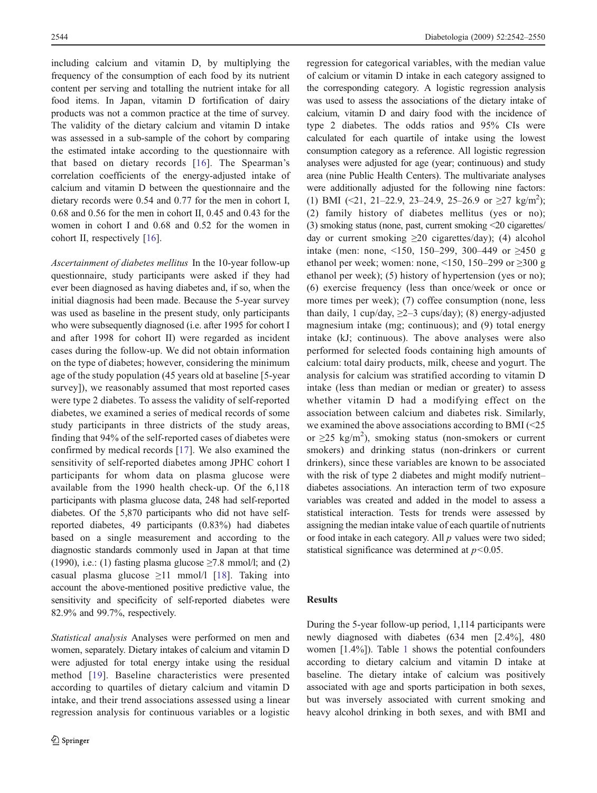including calcium and vitamin D, by multiplying the frequency of the consumption of each food by its nutrient content per serving and totalling the nutrient intake for all food items. In Japan, vitamin D fortification of dairy products was not a common practice at the time of survey. The validity of the dietary calcium and vitamin D intake was assessed in a sub-sample of the cohort by comparing the estimated intake according to the questionnaire with that based on dietary records [[16](#page-8-0)]. The Spearman's correlation coefficients of the energy-adjusted intake of calcium and vitamin D between the questionnaire and the dietary records were 0.54 and 0.77 for the men in cohort I, 0.68 and 0.56 for the men in cohort II, 0.45 and 0.43 for the women in cohort I and 0.68 and 0.52 for the women in cohort II, respectively [[16\]](#page-8-0).

Ascertainment of diabetes mellitus In the 10-year follow-up questionnaire, study participants were asked if they had ever been diagnosed as having diabetes and, if so, when the initial diagnosis had been made. Because the 5-year survey was used as baseline in the present study, only participants who were subsequently diagnosed (i.e. after 1995 for cohort I and after 1998 for cohort II) were regarded as incident cases during the follow-up. We did not obtain information on the type of diabetes; however, considering the minimum age of the study population (45 years old at baseline [5-year survey]), we reasonably assumed that most reported cases were type 2 diabetes. To assess the validity of self-reported diabetes, we examined a series of medical records of some study participants in three districts of the study areas, finding that 94% of the self-reported cases of diabetes were confirmed by medical records [[17\]](#page-8-0). We also examined the sensitivity of self-reported diabetes among JPHC cohort I participants for whom data on plasma glucose were available from the 1990 health check-up. Of the 6,118 participants with plasma glucose data, 248 had self-reported diabetes. Of the 5,870 participants who did not have selfreported diabetes, 49 participants (0.83%) had diabetes based on a single measurement and according to the diagnostic standards commonly used in Japan at that time (1990), i.e.: (1) fasting plasma glucose  $\geq$ 7.8 mmol/l; and (2) casual plasma glucose  $\geq$ 11 mmol/l [\[18](#page-8-0)]. Taking into account the above-mentioned positive predictive value, the sensitivity and specificity of self-reported diabetes were 82.9% and 99.7%, respectively.

Statistical analysis Analyses were performed on men and women, separately. Dietary intakes of calcium and vitamin D were adjusted for total energy intake using the residual method [[19](#page-8-0)]. Baseline characteristics were presented according to quartiles of dietary calcium and vitamin D intake, and their trend associations assessed using a linear regression analysis for continuous variables or a logistic regression for categorical variables, with the median value of calcium or vitamin D intake in each category assigned to the corresponding category. A logistic regression analysis was used to assess the associations of the dietary intake of calcium, vitamin D and dairy food with the incidence of type 2 diabetes. The odds ratios and 95% CIs were calculated for each quartile of intake using the lowest consumption category as a reference. All logistic regression analyses were adjusted for age (year; continuous) and study area (nine Public Health Centers). The multivariate analyses were additionally adjusted for the following nine factors: (1) BMI (<21, 21-22.9, 23-24.9, 25-26.9 or  $\geq$ 27 kg/m<sup>2</sup>); (2) family history of diabetes mellitus (yes or no); (3) smoking status (none, past, current smoking <20 cigarettes/ day or current smoking  $\geq 20$  cigarettes/day); (4) alcohol intake (men: none, <150, 150–299, 300–449 or ≥450 g ethanol per week; women: none, <150, 150–299 or  $\geq$ 300 g ethanol per week); (5) history of hypertension (yes or no); (6) exercise frequency (less than once/week or once or more times per week); (7) coffee consumption (none, less than daily, 1 cup/day,  $\geq$ 2–3 cups/day); (8) energy-adjusted magnesium intake (mg; continuous); and (9) total energy intake (kJ; continuous). The above analyses were also performed for selected foods containing high amounts of calcium: total dairy products, milk, cheese and yogurt. The analysis for calcium was stratified according to vitamin D intake (less than median or median or greater) to assess whether vitamin D had a modifying effect on the association between calcium and diabetes risk. Similarly, we examined the above associations according to BMI (<25 or  $\geq$ 25 kg/m<sup>2</sup>), smoking status (non-smokers or current smokers) and drinking status (non-drinkers or current drinkers), since these variables are known to be associated with the risk of type 2 diabetes and might modify nutrient– diabetes associations. An interaction term of two exposure variables was created and added in the model to assess a statistical interaction. Tests for trends were assessed by assigning the median intake value of each quartile of nutrients or food intake in each category. All  $p$  values were two sided; statistical significance was determined at  $p < 0.05$ .

#### Results

During the 5-year follow-up period, 1,114 participants were newly diagnosed with diabetes (634 men [2.4%], 480 women [1.4%]). Table [1](#page-3-0) shows the potential confounders according to dietary calcium and vitamin D intake at baseline. The dietary intake of calcium was positively associated with age and sports participation in both sexes, but was inversely associated with current smoking and heavy alcohol drinking in both sexes, and with BMI and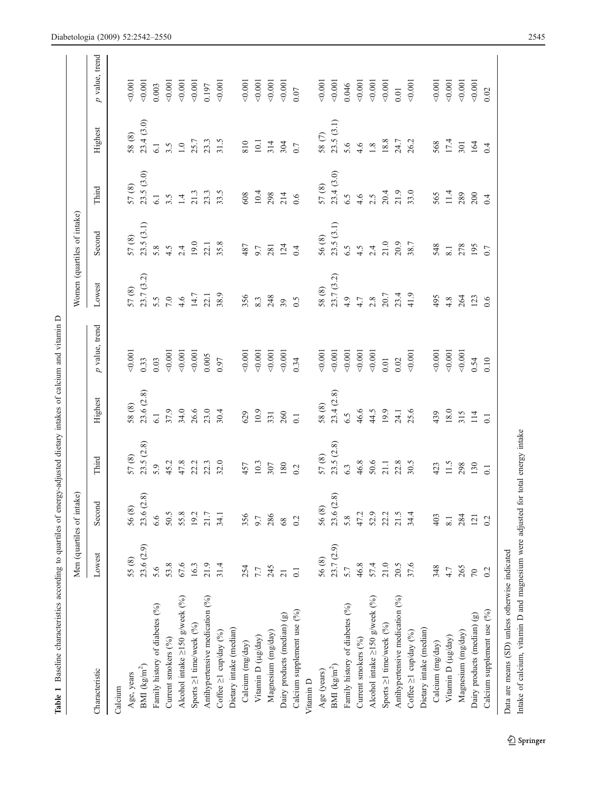<span id="page-3-0"></span>

| 55 (8)<br>BMI $(kg/m^2)$<br>Characteristic<br>Age, years<br>Calcium |            | Men (quartiles of intake) |                  |                  |                |                  | Women (quartiles of intake) |           |               |                                |
|---------------------------------------------------------------------|------------|---------------------------|------------------|------------------|----------------|------------------|-----------------------------|-----------|---------------|--------------------------------|
|                                                                     | Lowest     | Second                    | Third            | Highest          | p value, trend | Lowest           | Second                      | Third     | Highest       | value, trend<br>$\overline{a}$ |
|                                                                     |            |                           |                  |                  |                |                  |                             |           |               |                                |
|                                                                     |            | 56 (8)                    | $57(8)$          | $58(8)$          | 0.001          | 57(8)            | 57 (8)                      | 57(8)     | 58 (8)        | 0.001                          |
|                                                                     | 23.6 (2.9) | 23.6 (2.8)                | 23.5(2.8)        | 23.6 (2.8)       | 0.33           | 23.7 (3.2)       | 23.5(3.1)                   | 23.5(3.0) | 23.4(3.0)     | 0.001                          |
| 5.6<br>Family history of diabetes (%)                               |            | 6.6                       | 5.9              | 6.1              | 0.03           | 5.5              | 5.8                         | 6.1       | 6.1           | 0.003                          |
| 53.8<br>Current smokers (%)                                         |            | 50.5                      | 45.2             | 37.9             | 0.001          | $7.0\,$          | 4.5                         | 3.5       | 3.5           | 0.001                          |
| 67.6<br>Alcohol intake $\geq$ 150 g/week (%)                        |            | 55.8                      | 47.8             | 34.0             | 0.001          | 4.6              | 2.4                         | 1.4       | $1.0\,$       | 0.001                          |
| 16.3<br>Sports $\geq$ 1 time/week (%)                               |            | 19.2                      | 22.2             | 26.6             | 0.001          | 14.7             | 19.0                        | 21.3      | 25.7          | 0.001                          |
| 21.9<br>Antihypertensive medication (%)                             |            | 21.7                      | 22.3             | 23.0             | 0.005          | 22.1             | 22.1                        | 23.3      | 23.3          | 0.197                          |
| 31.4<br>Coffee ≥1 cup/day (%)                                       |            | 34.1                      | 32.0             | 30.4             | 0.97           | 38.9             | 35.8                        | 33.5      | 31.5          | 0.001                          |
| Dietary intake (median)                                             |            |                           |                  |                  |                |                  |                             |           |               |                                |
| 254<br>Calcium (mg/day)                                             |            | 356                       | 457              | 629              | 0.001          | 356              | 487                         | 608       | 810           | 0.001                          |
| 7.7<br>Vitamin D (µg/day)                                           |            | 9.7                       | 10.3             | 10.9             | 0.001          | 8.3              | 9.7                         | 10.4      | $10.1\,$      | 0.001                          |
| 245<br>Magnesium (mg/day)                                           |            | 286                       | 307              | 331              | 0.001          | 248              | 281                         | 298       | 314           | 0.001                          |
| $\overline{21}$<br>Dairy products (median) (g)                      |            | 68                        | 180              | 260              | < 0.001        | 39               | 124                         | 214       | 304           | 0.001                          |
| $\overline{0}$ .<br>Calcium supplement use (%)                      |            | 0.2                       | 0.2              | $\overline{0}$ . | 0.34           | $\overline{0.5}$ | 0.4                         | 0.6       | 0.7           | 0.07                           |
| Vitamin D                                                           |            |                           |                  |                  |                |                  |                             |           |               |                                |
| 56 (8)<br>Age (years)                                               |            | 56(8)                     | 57 (8)           | 58(8)            | 0.001          | 58(8)            | 56 (8)                      | 57(8)     | 58 $(7)$      | 0.001                          |
| BMI (kg/m <sup>2</sup> )                                            | 23.7 (2.9) | 23.6 (2.8)                | 23.5(2.8)        | 23.4(2.8)        | 0.001          | 23.7 (3.2)       | 23.5(3.1)                   | 23.4(3.0) | 23.5(3.1)     | 0.001                          |
| 5.7<br>Family history of diabetes (%)                               |            | 5.8                       | 6.3              | 6.5              | 0.001          | 4.9              | 6.5                         | 6.5       | 5.6           | 0.046                          |
| 46.8<br>Current smokers (%)                                         |            | 47.2                      | 46.8             | 46.6             | 0.001          | 4.7              | 4.5                         | 4.6       | 4.6           | 0.001                          |
| 57.4<br>Alcohol intake $\geq$ 150 g/week (%)                        |            | 52.9                      | 50.6             | 44.5             | 0.001          | 2.8              | 2.4                         | 2.5       | $1.8\,$       | 0.001                          |
| 21.0<br>Sports ≥1 time/week (%)                                     |            | 22.2                      | 21.1             | 19.9             | 0.01           | 20.7             | 21.0                        | 20.4      | 18.8          | 0.001                          |
| 20.5<br>Antihypertensive medication (%)                             |            | 21.5                      | 22.8             | 24.1             | 0.02           | 23.4             | 20.9                        | 21.9      | 24.7<br>26.2  | 0.01                           |
| 37.6<br>Coffee ≥1 cup/day (%)                                       |            | 34.4                      | 30.5             | 25.6             | 0.001          | 41.9             | 38.7                        | 33.0      |               | 0.001                          |
| Dietary intake (median)                                             |            |                           |                  |                  |                |                  |                             |           |               |                                |
| 348<br>Calcium (mg/day)                                             |            | 403                       | 423              | 439              | 0.001          | 495              | 548                         | 565       | 568           | 0.001                          |
| 4.7<br>Vitamin D (µg/day)                                           |            | $\overline{8.1}$          | 11.5             | $18.0\,$         | 0.001          | 4.8              | 8.1                         | 11.4      | $17.4$<br>301 | 0.001                          |
| 265<br>Magnesium (mg/day)                                           |            | 284                       | 298              | 315              | 0.001          | 264              | 278                         | 289       |               | 0.001                          |
| $70\,$<br>Dairy products (median) (g)                               |            | 121                       | 130              | 114              | 0.54           | 123              | 195                         | 200       | 164           | 0.001                          |
| 0.2<br>Calcium supplement use (%)                                   |            | 0.2                       | $\overline{0}$ . | $\overline{0}$ . | 0.10           | 0.6              | 0.7                         | 0.4       | 0.4           | 0.02                           |

 $\underline{\textcircled{\tiny 2}}$  Springer

Intake of calcium, vitamin D and magnesium were adjusted for total energy intake

Intake of calcium, vitamin D and magnesium were adjusted for total energy intake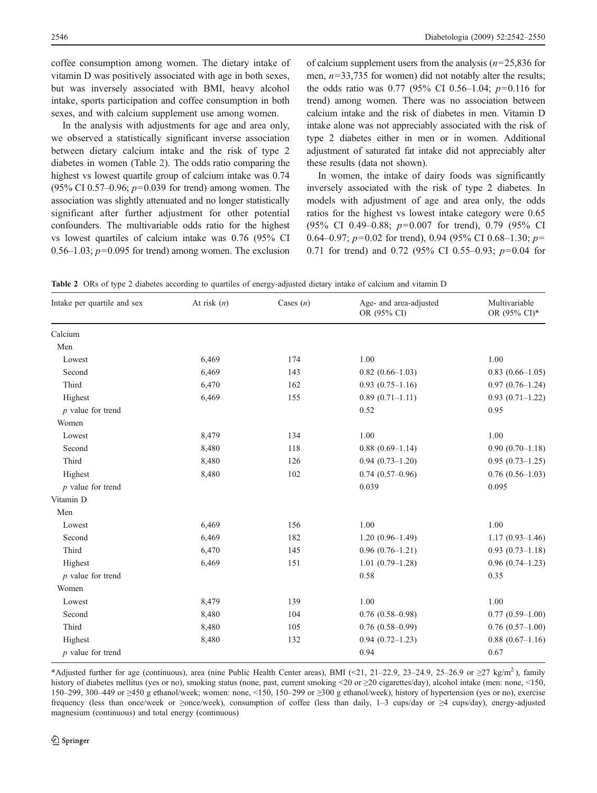<span id="page-4-0"></span>coffee consumption among women. The dietary intake of vitamin D was positively associated with age in both sexes, but was inversely associated with BMI, heavy alcohol intake, sports participation and coffee consumption in both sexes, and with calcium supplement use among women.

In the analysis with adjustments for age and area only, we observed a statistically significant inverse association between dietary calcium intake and the risk of type 2 diabetes in women (Table 2). The odds ratio comparing the highest vs lowest quartile group of calcium intake was 0.74 (95% CI 0.57–0.96;  $p=0.039$  for trend) among women. The association was slightly attenuated and no longer statistically significant after further adjustment for other potential confounders. The multivariable odds ratio for the highest vs lowest quartiles of calcium intake was 0.76 (95% CI 0.56–1.03;  $p=0.095$  for trend) among women. The exclusion

of calcium supplement users from the analysis  $(n=25.836$  for men,  $n=33,735$  for women) did not notably alter the results; the odds ratio was  $0.77$  (95% CI 0.56–1.04;  $p=0.116$  for trend) among women. There was no association between calcium intake and the risk of diabetes in men. Vitamin D intake alone was not appreciably associated with the risk of type 2 diabetes either in men or in women. Additional adjustment of saturated fat intake did not appreciably alter these results (data not shown).

In women, the intake of dairy foods was significantly inversely associated with the risk of type 2 diabetes. In models with adjustment of age and area only, the odds ratios for the highest vs lowest intake category were 0.65 (95% CI 0.49–0.88; p=0.007 for trend), 0.79 (95% CI 0.64–0.97;  $p=0.02$  for trend), 0.94 (95% CI 0.68–1.30;  $p=$ 0.71 for trend) and 0.72 (95% CI 0.55–0.93;  $p=0.04$  for

Table 2 ORs of type 2 diabetes according to quartiles of energy-adjusted dietary intake of calcium and vitamin D

| Intake per quartile and sex | At risk $(n)$ | Cases $(n)$ | Age- and area-adjusted<br>OR (95% CI) | Multivariable<br>OR (95% CI)* |
|-----------------------------|---------------|-------------|---------------------------------------|-------------------------------|
| Calcium                     |               |             |                                       |                               |
| Men                         |               |             |                                       |                               |
| Lowest                      | 6,469         | 174         | 1.00                                  | 1.00                          |
| Second                      | 6,469         | 143         | $0.82(0.66-1.03)$                     | $0.83(0.66-1.05)$             |
| Third                       | 6,470         | 162         | $0.93(0.75-1.16)$                     | $0.97(0.76-1.24)$             |
| Highest                     | 6,469         | 155         | $0.89(0.71-1.11)$                     | $0.93(0.71-1.22)$             |
| $p$ value for trend         |               |             | 0.52                                  | 0.95                          |
| Women                       |               |             |                                       |                               |
| Lowest                      | 8,479         | 134         | 1.00                                  | 1.00                          |
| Second                      | 8,480         | 118         | $0.88(0.69-1.14)$                     | $0.90(0.70-1.18)$             |
| Third                       | 8,480         | 126         | $0.94(0.73-1.20)$                     | $0.95(0.73-1.25)$             |
| Highest                     | 8,480         | 102         | $0.74(0.57-0.96)$                     | $0.76(0.56-1.03)$             |
| $p$ value for trend         |               |             | 0.039                                 | 0.095                         |
| Vitamin D                   |               |             |                                       |                               |
| Men                         |               |             |                                       |                               |
| Lowest                      | 6,469         | 156         | 1.00                                  | 1.00                          |
| Second                      | 6,469         | 182         | $1.20(0.96-1.49)$                     | $1.17(0.93 - 1.46)$           |
| Third                       | 6,470         | 145         | $0.96(0.76-1.21)$                     | $0.93(0.73 - 1.18)$           |
| Highest                     | 6,469         | 151         | $1.01(0.79-1.28)$                     | $0.96(0.74-1.23)$             |
| $p$ value for trend         |               |             | 0.58                                  | 0.35                          |
| Women                       |               |             |                                       |                               |
| Lowest                      | 8,479         | 139         | 1.00                                  | 1.00                          |
| Second                      | 8,480         | 104         | $0.76(0.58-0.98)$                     | $0.77(0.59-1.00)$             |
| Third                       | 8,480         | 105         | $0.76$ $(0.58-0.99)$                  | $0.76(0.57-1.00)$             |
| Highest                     | 8,480         | 132         | $0.94(0.72 - 1.23)$                   | $0.88(0.67-1.16)$             |
| $p$ value for trend         |               |             | 0.94                                  | 0.67                          |

\*Adjusted further for age (continuous), area (nine Public Health Center areas), BMI (<21, 21–22.9, 23–24.9, 25–26.9 or  $\geq$ 27 kg/m<sup>2</sup>), family history of diabetes mellitus (yes or no), smoking status (none, past, current smoking <20 or ≥20 cigarettes/day), alcohol intake (men: none, <150, 150–299, 300–449 or ≥450 g ethanol/week; women: none, <150, 150–299 or ≥300 g ethanol/week), history of hypertension (yes or no), exercise frequency (less than once/week or ≥once/week), consumption of coffee (less than daily, 1–3 cups/day or ≥4 cups/day), energy-adjusted magnesium (continuous) and total energy (continuous)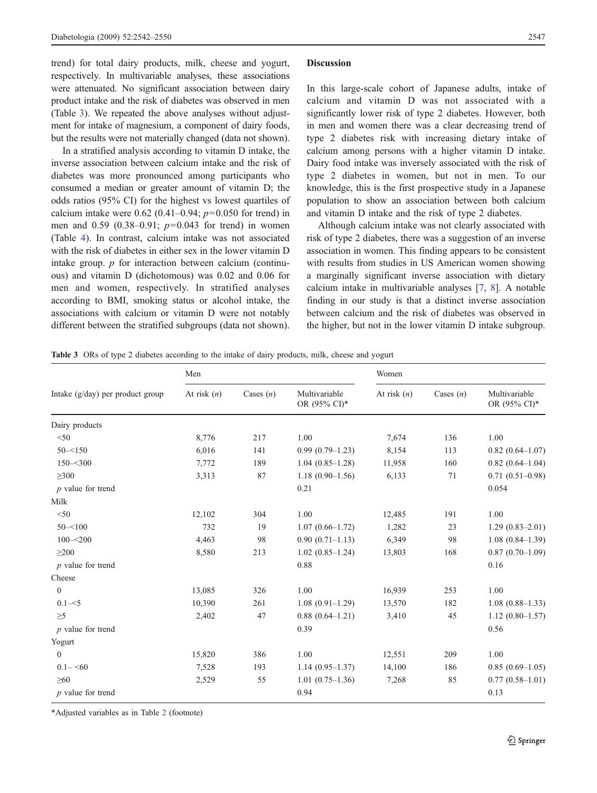trend) for total dairy products, milk, cheese and yogurt, respectively. In multivariable analyses, these associations were attenuated. No significant association between dairy product intake and the risk of diabetes was observed in men (Table 3). We repeated the above analyses without adjustment for intake of magnesium, a component of dairy foods, but the results were not materially changed (data not shown).

In a stratified analysis according to vitamin D intake, the inverse association between calcium intake and the risk of diabetes was more pronounced among participants who consumed a median or greater amount of vitamin D; the odds ratios (95% CI) for the highest vs lowest quartiles of calcium intake were 0.62 (0.41–0.94;  $p=0.050$  for trend) in men and  $0.59$   $(0.38-0.91; p=0.043$  for trend) in women (Table [4\)](#page-6-0). In contrast, calcium intake was not associated with the risk of diabetes in either sex in the lower vitamin D intake group. p for interaction between calcium (continuous) and vitamin D (dichotomous) was 0.02 and 0.06 for men and women, respectively. In stratified analyses according to BMI, smoking status or alcohol intake, the associations with calcium or vitamin D were not notably different between the stratified subgroups (data not shown).

#### **Discussion**

In this large-scale cohort of Japanese adults, intake of calcium and vitamin D was not associated with a significantly lower risk of type 2 diabetes. However, both in men and women there was a clear decreasing trend of type 2 diabetes risk with increasing dietary intake of calcium among persons with a higher vitamin D intake. Dairy food intake was inversely associated with the risk of type 2 diabetes in women, but not in men. To our knowledge, this is the first prospective study in a Japanese population to show an association between both calcium and vitamin D intake and the risk of type 2 diabetes.

Although calcium intake was not clearly associated with risk of type 2 diabetes, there was a suggestion of an inverse association in women. This finding appears to be consistent with results from studies in US American women showing a marginally significant inverse association with dietary calcium intake in multivariable analyses [[7,](#page-8-0) [8](#page-8-0)]. A notable finding in our study is that a distinct inverse association between calcium and the risk of diabetes was observed in the higher, but not in the lower vitamin D intake subgroup.

|  |  |  |  | Table 3 ORs of type 2 diabetes according to the intake of dairy products, milk, cheese and yogurt |
|--|--|--|--|---------------------------------------------------------------------------------------------------|
|--|--|--|--|---------------------------------------------------------------------------------------------------|

|                                    | Men           |             |                               | Women         |             |                               |  |
|------------------------------------|---------------|-------------|-------------------------------|---------------|-------------|-------------------------------|--|
| Intake $(g/day)$ per product group | At risk $(n)$ | Cases $(n)$ | Multivariable<br>OR (95% CI)* | At risk $(n)$ | Cases $(n)$ | Multivariable<br>OR (95% CI)* |  |
| Dairy products                     |               |             |                               |               |             |                               |  |
| < 50                               | 8,776         | 217         | 1.00                          | 7,674         | 136         | 1.00                          |  |
| $50 - 150$                         | 6,016         | 141         | $0.99(0.79-1.23)$             | 8,154         | 113         | $0.82(0.64 - 1.07)$           |  |
| $150 - 300$                        | 7,772         | 189         | $1.04(0.85-1.28)$             | 11,958        | 160         | $0.82(0.64 - 1.04)$           |  |
| $\geq 300$                         | 3,313         | 87          | $1.18(0.90-1.56)$             | 6,133         | 71          | $0.71(0.51-0.98)$             |  |
| $p$ value for trend                |               |             | 0.21                          |               |             | 0.054                         |  |
| Milk                               |               |             |                               |               |             |                               |  |
| $<$ 50                             | 12,102        | 304         | 1.00                          | 12,485        | 191         | 1.00                          |  |
| $50 - 100$                         | 732           | 19          | $1.07(0.66 - 1.72)$           | 1,282         | 23          | $1.29(0.83 - 2.01)$           |  |
| $100 - 200$                        | 4,463         | 98          | $0.90(0.71 - 1.13)$           | 6,349         | 98          | $1.08(0.84-1.39)$             |  |
| $\geq$ 200                         | 8,580         | 213         | $1.02(0.85-1.24)$             | 13,803        | 168         | $0.87(0.70-1.09)$             |  |
| $p$ value for trend                |               |             | 0.88                          |               |             | 0.16                          |  |
| Cheese                             |               |             |                               |               |             |                               |  |
| $\mathbf{0}$                       | 13,085        | 326         | 1.00                          | 16,939        | 253         | 1.00                          |  |
| $0.1 - 5$                          | 10,390        | 261         | $1.08(0.91-1.29)$             | 13,570        | 182         | $1.08(0.88 - 1.33)$           |  |
| $\geq 5$                           | 2,402         | 47          | $0.88(0.64 - 1.21)$           | 3,410         | 45          | $1.12(0.80-1.57)$             |  |
| $p$ value for trend                |               |             | 0.39                          |               |             | 0.56                          |  |
| Yogurt                             |               |             |                               |               |             |                               |  |
| $\theta$                           | 15,820        | 386         | 1.00                          | 12,551        | 209         | 1.00                          |  |
| $0.1 - 50$                         | 7,528         | 193         | $1.14(0.95-1.37)$             | 14,100        | 186         | $0.85(0.69-1.05)$             |  |
| $\geq 60$                          | 2,529         | 55          | $1.01(0.75-1.36)$             | 7,268         | 85          | $0.77(0.58-1.01)$             |  |
| $p$ value for trend                |               |             | 0.94                          |               |             | 0.13                          |  |

\*Adjusted variables as in Table [2](#page-4-0) (footnote)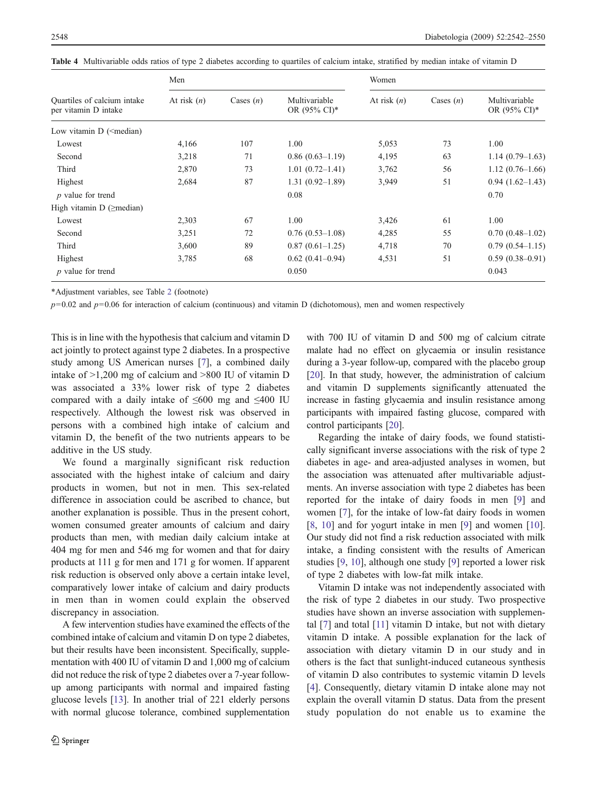<span id="page-6-0"></span>

|  |  |  |  |  |  |  |  |  | Table 4 Multivariable odds ratios of type 2 diabetes according to quartiles of calcium intake, stratified by median intake of vitamin D |  |
|--|--|--|--|--|--|--|--|--|-----------------------------------------------------------------------------------------------------------------------------------------|--|
|--|--|--|--|--|--|--|--|--|-----------------------------------------------------------------------------------------------------------------------------------------|--|

|                                                                                                   | Men           |             |                                           | Women         |             |                                           |  |
|---------------------------------------------------------------------------------------------------|---------------|-------------|-------------------------------------------|---------------|-------------|-------------------------------------------|--|
| Quartiles of calcium intake<br>per vitamin D intake                                               | At risk $(n)$ | Cases $(n)$ | Multivariable<br>OR $(95\% \text{ CI})^*$ | At risk $(n)$ | Cases $(n)$ | Multivariable<br>OR $(95\% \text{ CI})^*$ |  |
| Low vitamin D ( <median)< td=""><td></td><td></td><td></td><td></td><td></td><td></td></median)<> |               |             |                                           |               |             |                                           |  |
| Lowest                                                                                            | 4,166         | 107         | 1.00                                      | 5,053         | 73          | 1.00                                      |  |
| Second                                                                                            | 3,218         | 71          | $0.86(0.63-1.19)$                         | 4,195         | 63          | $1.14(0.79-1.63)$                         |  |
| Third                                                                                             | 2,870         | 73          | $1.01(0.72 - 1.41)$                       | 3,762         | 56          | $1.12(0.76-1.66)$                         |  |
| Highest                                                                                           | 2,684         | 87          | $1.31(0.92 - 1.89)$                       | 3,949         | 51          | $0.94(1.62-1.43)$                         |  |
| $p$ value for trend                                                                               |               |             | 0.08                                      |               |             | 0.70                                      |  |
| High vitamin $D$ ( $\geq$ median)                                                                 |               |             |                                           |               |             |                                           |  |
| Lowest                                                                                            | 2,303         | 67          | 1.00                                      | 3,426         | 61          | 1.00                                      |  |
| Second                                                                                            | 3,251         | 72          | $0.76(0.53-1.08)$                         | 4,285         | 55          | $0.70(0.48-1.02)$                         |  |
| Third                                                                                             | 3,600         | 89          | $0.87(0.61-1.25)$                         | 4,718         | 70          | $0.79(0.54-1.15)$                         |  |
| Highest                                                                                           | 3,785         | 68          | $0.62(0.41-0.94)$                         | 4,531         | 51          | $0.59(0.38-0.91)$                         |  |
| <i>p</i> value for trend                                                                          |               |             | 0.050                                     |               |             | 0.043                                     |  |

\*Adjustment variables, see Table [2](#page-4-0) (footnote)

 $p=0.02$  and  $p=0.06$  for interaction of calcium (continuous) and vitamin D (dichotomous), men and women respectively

This is in line with the hypothesis that calcium and vitamin D act jointly to protect against type 2 diabetes. In a prospective study among US American nurses [[7\]](#page-8-0), a combined daily intake of >1,200 mg of calcium and >800 IU of vitamin D was associated a 33% lower risk of type 2 diabetes compared with a daily intake of  $\leq 600$  mg and  $\leq 400$  IU respectively. Although the lowest risk was observed in persons with a combined high intake of calcium and vitamin D, the benefit of the two nutrients appears to be additive in the US study.

We found a marginally significant risk reduction associated with the highest intake of calcium and dairy products in women, but not in men. This sex-related difference in association could be ascribed to chance, but another explanation is possible. Thus in the present cohort, women consumed greater amounts of calcium and dairy products than men, with median daily calcium intake at 404 mg for men and 546 mg for women and that for dairy products at 111 g for men and 171 g for women. If apparent risk reduction is observed only above a certain intake level, comparatively lower intake of calcium and dairy products in men than in women could explain the observed discrepancy in association.

A few intervention studies have examined the effects of the combined intake of calcium and vitamin D on type 2 diabetes, but their results have been inconsistent. Specifically, supplementation with 400 IU of vitamin D and 1,000 mg of calcium did not reduce the risk of type 2 diabetes over a 7-year followup among participants with normal and impaired fasting glucose levels [\[13](#page-8-0)]. In another trial of 221 elderly persons with normal glucose tolerance, combined supplementation with 700 IU of vitamin D and 500 mg of calcium citrate malate had no effect on glycaemia or insulin resistance during a 3-year follow-up, compared with the placebo group [\[20](#page-8-0)]. In that study, however, the administration of calcium and vitamin D supplements significantly attenuated the increase in fasting glycaemia and insulin resistance among participants with impaired fasting glucose, compared with control participants [\[20\]](#page-8-0).

Regarding the intake of dairy foods, we found statistically significant inverse associations with the risk of type 2 diabetes in age- and area-adjusted analyses in women, but the association was attenuated after multivariable adjustments. An inverse association with type 2 diabetes has been reported for the intake of dairy foods in men [[9](#page-8-0)] and women [[7\]](#page-8-0), for the intake of low-fat dairy foods in women [\[8](#page-8-0), [10](#page-8-0)] and for yogurt intake in men [[9\]](#page-8-0) and women [[10\]](#page-8-0). Our study did not find a risk reduction associated with milk intake, a finding consistent with the results of American studies [[9,](#page-8-0) [10\]](#page-8-0), although one study [\[9](#page-8-0)] reported a lower risk of type 2 diabetes with low-fat milk intake.

Vitamin D intake was not independently associated with the risk of type 2 diabetes in our study. Two prospective studies have shown an inverse association with supplemental [\[7](#page-8-0)] and total [\[11\]](#page-8-0) vitamin D intake, but not with dietary vitamin D intake. A possible explanation for the lack of association with dietary vitamin D in our study and in others is the fact that sunlight-induced cutaneous synthesis of vitamin D also contributes to systemic vitamin D levels [\[4](#page-7-0)]. Consequently, dietary vitamin D intake alone may not explain the overall vitamin D status. Data from the present study population do not enable us to examine the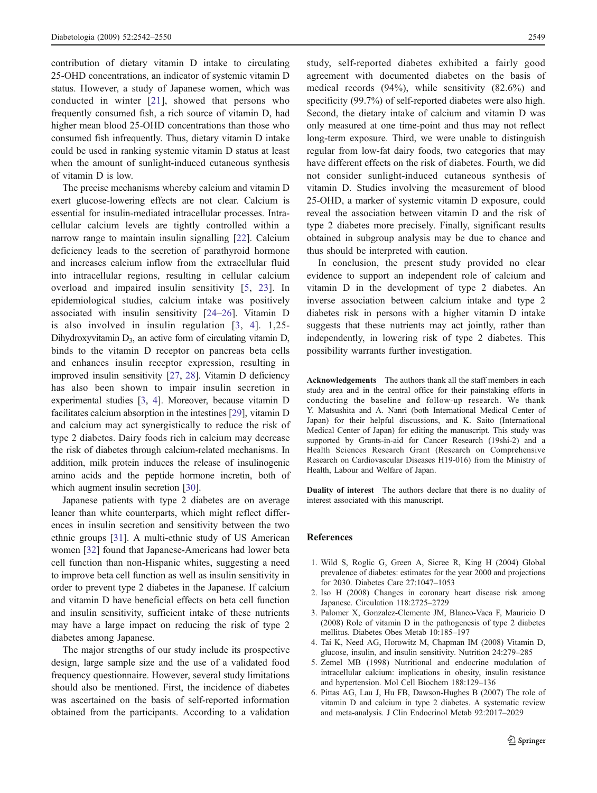<span id="page-7-0"></span>contribution of dietary vitamin D intake to circulating 25-OHD concentrations, an indicator of systemic vitamin D status. However, a study of Japanese women, which was conducted in winter [[21](#page-8-0)], showed that persons who frequently consumed fish, a rich source of vitamin D, had higher mean blood 25-OHD concentrations than those who consumed fish infrequently. Thus, dietary vitamin D intake could be used in ranking systemic vitamin D status at least when the amount of sunlight-induced cutaneous synthesis of vitamin D is low.

The precise mechanisms whereby calcium and vitamin D exert glucose-lowering effects are not clear. Calcium is essential for insulin-mediated intracellular processes. Intracellular calcium levels are tightly controlled within a narrow range to maintain insulin signalling [[22\]](#page-8-0). Calcium deficiency leads to the secretion of parathyroid hormone and increases calcium inflow from the extracellular fluid into intracellular regions, resulting in cellular calcium overload and impaired insulin sensitivity [5, [23](#page-8-0)]. In epidemiological studies, calcium intake was positively associated with insulin sensitivity [\[24](#page-8-0)–[26](#page-8-0)]. Vitamin D is also involved in insulin regulation [3, 4]. 1,25- Dihydroxyvitamin  $D_3$ , an active form of circulating vitamin D, binds to the vitamin D receptor on pancreas beta cells and enhances insulin receptor expression, resulting in improved insulin sensitivity [\[27](#page-8-0), [28\]](#page-8-0). Vitamin D deficiency has also been shown to impair insulin secretion in experimental studies [3, 4]. Moreover, because vitamin D facilitates calcium absorption in the intestines [\[29](#page-8-0)], vitamin D and calcium may act synergistically to reduce the risk of type 2 diabetes. Dairy foods rich in calcium may decrease the risk of diabetes through calcium-related mechanisms. In addition, milk protein induces the release of insulinogenic amino acids and the peptide hormone incretin, both of which augment insulin secretion [\[30](#page-8-0)].

Japanese patients with type 2 diabetes are on average leaner than white counterparts, which might reflect differences in insulin secretion and sensitivity between the two ethnic groups [\[31](#page-8-0)]. A multi-ethnic study of US American women [\[32](#page-8-0)] found that Japanese-Americans had lower beta cell function than non-Hispanic whites, suggesting a need to improve beta cell function as well as insulin sensitivity in order to prevent type 2 diabetes in the Japanese. If calcium and vitamin D have beneficial effects on beta cell function and insulin sensitivity, sufficient intake of these nutrients may have a large impact on reducing the risk of type 2 diabetes among Japanese.

The major strengths of our study include its prospective design, large sample size and the use of a validated food frequency questionnaire. However, several study limitations should also be mentioned. First, the incidence of diabetes was ascertained on the basis of self-reported information obtained from the participants. According to a validation study, self-reported diabetes exhibited a fairly good agreement with documented diabetes on the basis of medical records (94%), while sensitivity (82.6%) and specificity (99.7%) of self-reported diabetes were also high. Second, the dietary intake of calcium and vitamin D was only measured at one time-point and thus may not reflect long-term exposure. Third, we were unable to distinguish regular from low-fat dairy foods, two categories that may have different effects on the risk of diabetes. Fourth, we did not consider sunlight-induced cutaneous synthesis of vitamin D. Studies involving the measurement of blood 25-OHD, a marker of systemic vitamin D exposure, could reveal the association between vitamin D and the risk of type 2 diabetes more precisely. Finally, significant results obtained in subgroup analysis may be due to chance and thus should be interpreted with caution.

In conclusion, the present study provided no clear evidence to support an independent role of calcium and vitamin D in the development of type 2 diabetes. An inverse association between calcium intake and type 2 diabetes risk in persons with a higher vitamin D intake suggests that these nutrients may act jointly, rather than independently, in lowering risk of type 2 diabetes. This possibility warrants further investigation.

Acknowledgements The authors thank all the staff members in each study area and in the central office for their painstaking efforts in conducting the baseline and follow-up research. We thank Y. Matsushita and A. Nanri (both International Medical Center of Japan) for their helpful discussions, and K. Saito (International Medical Center of Japan) for editing the manuscript. This study was supported by Grants-in-aid for Cancer Research (19shi-2) and a Health Sciences Research Grant (Research on Comprehensive Research on Cardiovascular Diseases H19-016) from the Ministry of Health, Labour and Welfare of Japan.

Duality of interest The authors declare that there is no duality of interest associated with this manuscript.

## References

- 1. Wild S, Roglic G, Green A, Sicree R, King H (2004) Global prevalence of diabetes: estimates for the year 2000 and projections for 2030. Diabetes Care 27:1047–1053
- 2. Iso H (2008) Changes in coronary heart disease risk among Japanese. Circulation 118:2725–2729
- 3. Palomer X, Gonzalez-Clemente JM, Blanco-Vaca F, Mauricio D (2008) Role of vitamin D in the pathogenesis of type 2 diabetes mellitus. Diabetes Obes Metab 10:185–197
- 4. Tai K, Need AG, Horowitz M, Chapman IM (2008) Vitamin D, glucose, insulin, and insulin sensitivity. Nutrition 24:279–285
- 5. Zemel MB (1998) Nutritional and endocrine modulation of intracellular calcium: implications in obesity, insulin resistance and hypertension. Mol Cell Biochem 188:129–136
- 6. Pittas AG, Lau J, Hu FB, Dawson-Hughes B (2007) The role of vitamin D and calcium in type 2 diabetes. A systematic review and meta-analysis. J Clin Endocrinol Metab 92:2017–2029